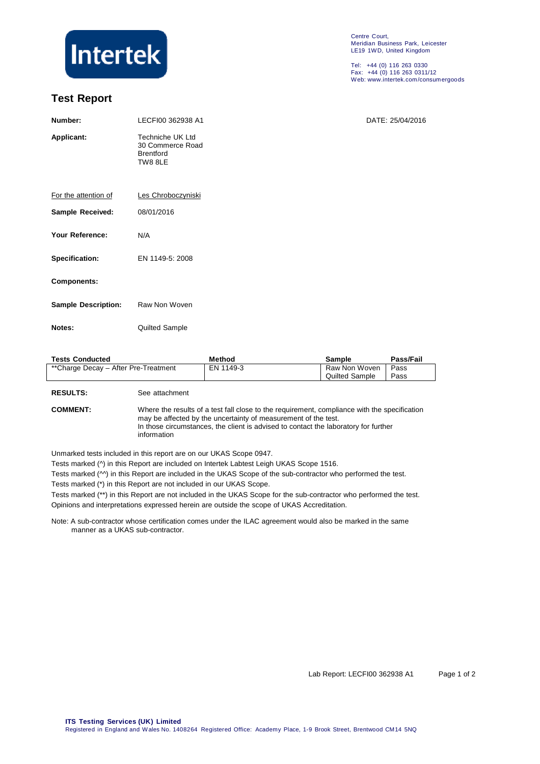

## **Test Report**

Centre Court, Meridian Business Park, Leicester LE19 1WD, United Kingdom

Tel: +44 (0) 116 263 0330 Fax: +44 (0) 116 263 0311/12 Web: www.intertek.com/consumergoods

| Number:                    | LECFI00 362938 A1                                                   | DATE: 25/04/2016 |  |  |  |  |  |
|----------------------------|---------------------------------------------------------------------|------------------|--|--|--|--|--|
| Applicant:                 | Techniche UK Ltd<br>30 Commerce Road<br><b>Brentford</b><br>TW8 8LE |                  |  |  |  |  |  |
| For the attention of       | Les Chroboczyniski                                                  |                  |  |  |  |  |  |
| Sample Received:           | 08/01/2016                                                          |                  |  |  |  |  |  |
| Your Reference:            | N/A                                                                 |                  |  |  |  |  |  |
| Specification:             | EN 1149-5: 2008                                                     |                  |  |  |  |  |  |
| Components:                |                                                                     |                  |  |  |  |  |  |
| <b>Sample Description:</b> | Raw Non Woven                                                       |                  |  |  |  |  |  |
| Notes:                     | Quilted Sample                                                      |                  |  |  |  |  |  |
|                            |                                                                     |                  |  |  |  |  |  |

| <b>Tests Conducted</b>               | Method    | Sample         | Pass/Fail |
|--------------------------------------|-----------|----------------|-----------|
| **Charge Decay - After Pre-Treatment | EN 1149-3 | Raw Non Woven  | Pass      |
|                                      |           | Quilted Sample | Pass      |

**RESULTS:** See attachment

**COMMENT:** Where the results of a test fall close to the requirement, compliance with the specification may be affected by the uncertainty of measurement of the test. In those circumstances, the client is advised to contact the laboratory for further information

Unmarked tests included in this report are on our UKAS Scope 0947.

Tests marked (^) in this Report are included on Intertek Labtest Leigh UKAS Scope 1516.

Tests marked ( $\wedge$ ) in this Report are included in the UKAS Scope of the sub-contractor who performed the test.

Tests marked (\*) in this Report are not included in our UKAS Scope.

Tests marked (\*\*) in this Report are not included in the UKAS Scope for the sub-contractor who performed the test. Opinions and interpretations expressed herein are outside the scope of UKAS Accreditation.

Note: A sub-contractor whose certification comes under the ILAC agreement would also be marked in the same manner as a UKAS sub-contractor.

Lab Report: LECFI00 362938 A1 Page 1 of 2